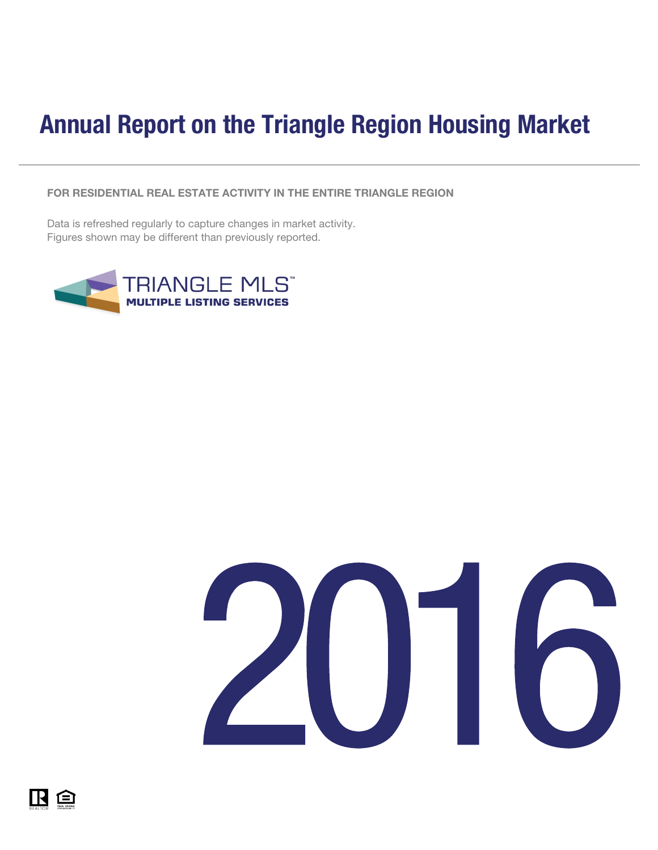## <span id="page-0-0"></span>Annual Report on the Triangle Region Housing Market

FOR RESIDENTIAL REAL ESTATE ACTIVITY IN THE ENTIRE TRIANGLE REGION

Data is refreshed regularly to capture changes in market activity. Figures shown may be different than previously reported.





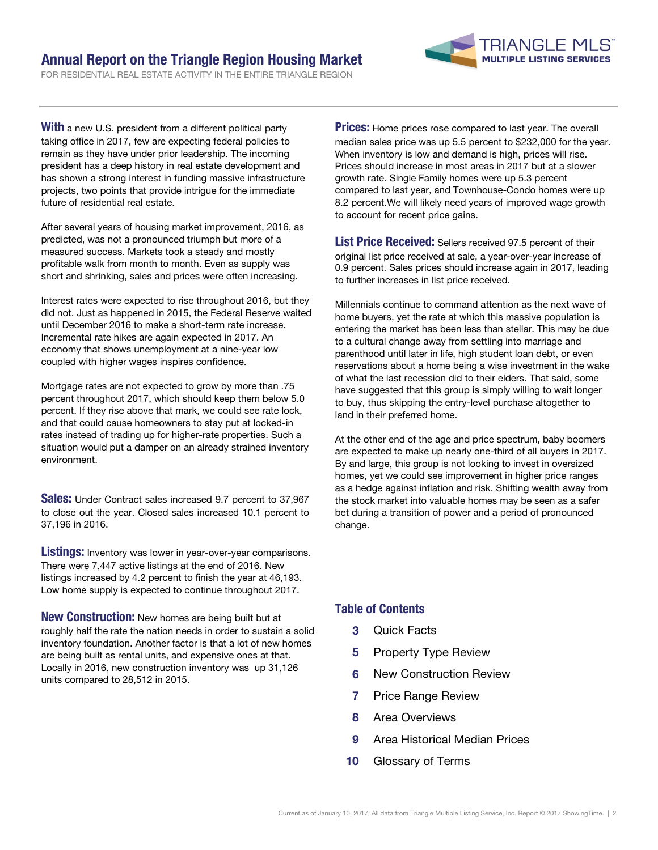### Annual Report on the Triangle Region Housing Market

FOR RESIDENTIAL REAL ESTATE ACTIVITY IN THE ENTIRE TRIANGLE REGION



**With** a new U.S. president from a different political party taking office in 2017, few are expecting federal policies to remain as they have under prior leadership. The incoming president has a deep history in real estate development and has shown a strong interest in funding massive infrastructure projects, two points that provide intrigue for the immediate future of residential real estate.

After several years of housing market improvement, 2016, as predicted, was not a pronounced triumph but more of a measured success. Markets took a steady and mostly profitable walk from month to month. Even as supply was short and shrinking, sales and prices were often increasing.

Interest rates were expected to rise throughout 2016, but they did not. Just as happened in 2015, the Federal Reserve waited until December 2016 to make a short-term rate increase. Incremental rate hikes are again expected in 2017. An economy that shows unemployment at a nine-year low coupled with higher wages inspires confidence.

Mortgage rates are not expected to grow by more than .75 percent throughout 2017, which should keep them below 5.0 percent. If they rise above that mark, we could see rate lock, and that could cause homeowners to stay put at locked-in rates instead of trading up for higher-rate properties. Such a situation would put a damper on an already strained inventory environment.

**Sales:** Under Contract sales increased 9.7 percent to 37,967 to close out the year. Closed sales increased 10.1 percent to 37,196 in 2016.

**Listings:** Inventory was lower in year-over-year comparisons. There were 7,447 active listings at the end of 2016. New listings increased by 4.2 percent to finish the year at 46,193. Low home supply is expected to continue throughout 2017.

New Construction: New homes are being built but at roughly half the rate the nation needs in order to sustain a solid inventory foundation. Another factor is that a lot of new homes are being built as rental units, and expensive ones at that. Locally in 2016, new construction inventory was up 31,126 units compared to 28,512 in 2015.

**Prices:** Home prices rose compared to last year. The overall median sales price was up 5.5 percent to \$232,000 for the year. When inventory is low and demand is high, prices will rise. Prices should increase in most areas in 2017 but at a slower growth rate. Single Family homes were up 5.3 percent compared to last year, and Townhouse-Condo homes were up 8.2 percent.We will likely need years of improved wage growth to account for recent price gains.

List Price Received: Sellers received 97.5 percent of their original list price received at sale, a year-over-year increase of 0.9 percent. Sales prices should increase again in 2017, leading to further increases in list price received.

Millennials continue to command attention as the next wave of home buyers, yet the rate at which this massive population is entering the market has been less than stellar. This may be due to a cultural change away from settling into marriage and parenthood until later in life, high student loan debt, or even reservations about a home being a wise investment in the wake of what the last recession did to their elders. That said, some have suggested that this group is simply willing to wait longer to buy, thus skipping the entry-level purchase altogether to land in their preferred home.

At the other end of the age and price spectrum, baby boomers are expected to make up nearly one-third of all buyers in 2017. By and large, this group is not looking to invest in oversized homes, yet we could see improvement in higher price ranges as a hedge against inflation and risk. Shifting wealth away from the stock market into valuable homes may be seen as a safer bet during a transition of power and a period of pronounced change.

### Table of Contents

- 3 Quick Facts
- **5** Property Type Review
- 6 New Construction Review
- 7 Price Range Review
- 8 Area Overviews
- 9 Area Historical Median Prices
- 10 Glossary of Terms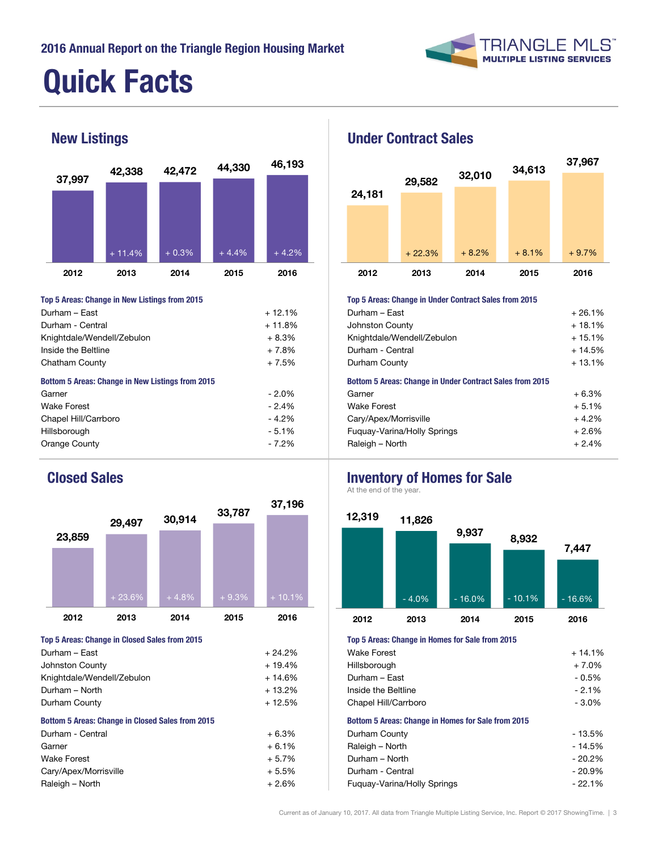

# Quick Facts



| Top 5 Areas: Change in New Listings from 2015           |          | Top 5 Areas: Change in Under Contract Sales from 2015           |          |  |  |
|---------------------------------------------------------|----------|-----------------------------------------------------------------|----------|--|--|
| Durham - East                                           | $+12.1%$ | Durham - East                                                   |          |  |  |
| Durham - Central                                        | $+11.8%$ | Johnston County                                                 | $+18.1%$ |  |  |
| Knightdale/Wendell/Zebulon                              | $+8.3%$  | Knightdale/Wendell/Zebulon                                      | $+15.1%$ |  |  |
| Inside the Beltline                                     | $+7.8%$  | Durham - Central                                                | $+14.5%$ |  |  |
| Chatham County                                          | $+7.5%$  | Durham County                                                   |          |  |  |
| <b>Bottom 5 Areas: Change in New Listings from 2015</b> |          | <b>Bottom 5 Areas: Change in Under Contract Sales from 2015</b> |          |  |  |
| Garner                                                  | $-2.0%$  | Garner                                                          | $+6.3%$  |  |  |
| <b>Wake Forest</b>                                      | $-2.4%$  | <b>Wake Forest</b>                                              | $+5.1%$  |  |  |
| Chapel Hill/Carrboro                                    | $-4.2%$  | Cary/Apex/Morrisville                                           | $+4.2%$  |  |  |
| Hillsborough                                            | $-5.1%$  | Fuguay-Varina/Holly Springs                                     | $+2.6%$  |  |  |
| Orange County                                           | $-7.2\%$ | Raleigh - North                                                 | $+2.4%$  |  |  |



| $+24.2%$                                                | <b>Wake Forest</b>          | $+14.1%$                                                  |  |  |  |
|---------------------------------------------------------|-----------------------------|-----------------------------------------------------------|--|--|--|
| $+19.4%$                                                | Hillsborough                | $+7.0%$                                                   |  |  |  |
| $+14.6%$                                                | Durham - East               | - 0.5%                                                    |  |  |  |
| $+13.2%$                                                | Inside the Beltline         | $-2.1%$                                                   |  |  |  |
| $+12.5%$                                                | Chapel Hill/Carrboro        |                                                           |  |  |  |
| <b>Bottom 5 Areas: Change in Closed Sales from 2015</b> |                             | <b>Bottom 5 Areas: Change in Homes for Sale from 2015</b> |  |  |  |
| $+6.3%$                                                 | Durham County               | $-13.5%$                                                  |  |  |  |
| $+6.1%$                                                 | Raleigh - North             | $-14.5%$                                                  |  |  |  |
| $+5.7%$                                                 | Durham - North              | $-20.2%$                                                  |  |  |  |
| $+5.5%$                                                 | Durham - Central            | $-20.9%$                                                  |  |  |  |
| $+2.6%$                                                 | Fuguay-Varina/Holly Springs | $-22.1%$                                                  |  |  |  |
|                                                         |                             |                                                           |  |  |  |



## Johnston County  $+ 18.1\%$ Knightdale/Wendell/Zebulon + 15.1% Durham - Central + 14.5% Cary/Apex/Morrisville + 4.2% Fuquay-Varina/Holly Springs + 2.6% Orange County **Fig. 1.48** For a state of the control of the Raleigh – North **Fig. 1.48** For a state of the control of the control of the control of the control of the control of the control of the control of the control of Top 5 Areas: Change in Under Contract Sales from 2015 Bottom 5 Areas: Change in Under Contract Sales from 2015

### Closed Sales **Inventory of Homes for Sale**

At the end of the year.



### Top 5 Areas: Change in Closed Sales from 2015 Top 5 Areas: Change in Homes for Sale from 2015

| Wake Forest                                               | $+14.1%$ |
|-----------------------------------------------------------|----------|
| Hillsborough                                              | + 7.0%   |
| Durham - East                                             | - 0.5%   |
| Inside the Beltline                                       | $-2.1%$  |
| Chapel Hill/Carrboro                                      | - 3.0%   |
| <b>Bottom 5 Areas: Change in Homes for Sale from 2015</b> |          |
| Durham County                                             | - 13.5%  |
| Raleigh - North                                           | $-14.5%$ |
| Durham - North                                            | $-20.2%$ |
| Durham - Central                                          | $-20.9%$ |
| Fuguay-Varina/Holly Springs                               | $-22.1%$ |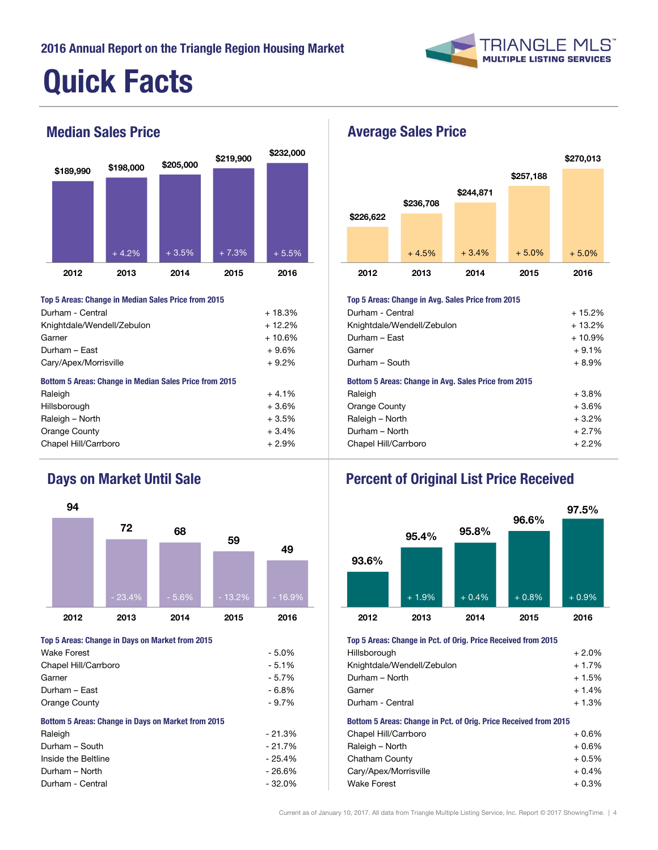

# Quick Facts



| Top 5 Areas: Change in Median Sales Price from 2015           |          | Top 5 Areas: Change in Avg. Sales Price from 2015    |          |  |
|---------------------------------------------------------------|----------|------------------------------------------------------|----------|--|
| Durham - Central                                              | $+18.3%$ | Durham - Central                                     |          |  |
| Knightdale/Wendell/Zebulon                                    | $+12.2%$ | Knightdale/Wendell/Zebulon                           | $+13.2%$ |  |
| Garner                                                        | $+10.6%$ | Durham - East                                        | $+10.9%$ |  |
| Durham - East                                                 | $+9.6%$  | Garner                                               | $+9.1%$  |  |
| Cary/Apex/Morrisville                                         | $+9.2%$  | Durham - South                                       |          |  |
| <b>Bottom 5 Areas: Change in Median Sales Price from 2015</b> |          | Bottom 5 Areas: Change in Avg. Sales Price from 2015 |          |  |
| Raleigh                                                       | $+4.1%$  | Raleigh                                              | $+3.8%$  |  |
| Hillsborough                                                  | $+3.6%$  | Orange County                                        | $+3.6%$  |  |
| Raleigh - North                                               | $+3.5%$  | Raleigh - North                                      | $+3.2%$  |  |
| Orange County                                                 | $+3.4%$  | Durham - North                                       | $+2.7%$  |  |
|                                                               |          |                                                      |          |  |



| Wake Forest                                        | - 5.0%   | Hillsborough                                                     | $+2.0%$ |
|----------------------------------------------------|----------|------------------------------------------------------------------|---------|
| Chapel Hill/Carrboro                               | $-5.1%$  | Knightdale/Wendell/Zebulon                                       | $+1.7%$ |
| Garner                                             | $-5.7%$  | Durham - North                                                   | $+1.5%$ |
| Durham - East                                      | - 6.8%   | Garner                                                           | $+1.4%$ |
| Orange County                                      | $-9.7\%$ | Durham - Central                                                 | $+1.3%$ |
| Bottom 5 Areas: Change in Days on Market from 2015 |          | Bottom 5 Areas: Change in Pct. of Orig. Price Received from 2015 |         |
| Raleigh                                            | $-21.3%$ | Chapel Hill/Carrboro                                             | $+0.6%$ |

| $-21.7\%$ | Raleigh - North       | $+0.6%$ |
|-----------|-----------------------|---------|
| - 25.4%   | Chatham County        | $+0.5%$ |
| - 26.6%   | Cary/Apex/Morrisville | $+0.4%$ |
| - 32.0%   | <b>Wake Forest</b>    | $+0.3%$ |
|           |                       |         |



## Durham - Central + 15.2% Knightdale/Wendell/Zebulon + 13.2% Orange County  $+3.6\%$  $Raleigh - North$  + 3.2% Chapel Hill/Carrboro + 2.9% Chapel Hill/Carrboro + 2.2% Chapel Hill/Carrboro + 2.2% Top 5 Areas: Change in Avg. Sales Price from 2015 Bottom 5 Areas: Change in Avg. Sales Price from 2015

## Days on Market Until Sale **Percent of Original List Price Received**



### Top 5 Areas: Change in Days on Market from 2015 Top 5 Areas: Change in Pct. of Orig. Price Received from 2015

| TOP O ATOUS, OHERWY III FOG OF OHAN FROU HOUSTON HOME LOTO |         |
|------------------------------------------------------------|---------|
| Hillsborough                                               | $+2.0%$ |
| Knightdale/Wendell/Zebulon                                 | $+1.7%$ |
| Durham - North                                             | $+1.5%$ |
| Garner                                                     | $+1.4%$ |
| Durham - Central                                           | $+1.3%$ |
|                                                            |         |

### Bottom 5 Areas: Change in Pct. of Orig. Price Received from 2015

| Chapel Hill/Carrboro  | $+0.6%$ |
|-----------------------|---------|
| Raleigh – North       | $+0.6%$ |
| Chatham County        | $+0.5%$ |
| Cary/Apex/Morrisville | $+0.4%$ |
| Wake Forest           | $+0.3%$ |
|                       |         |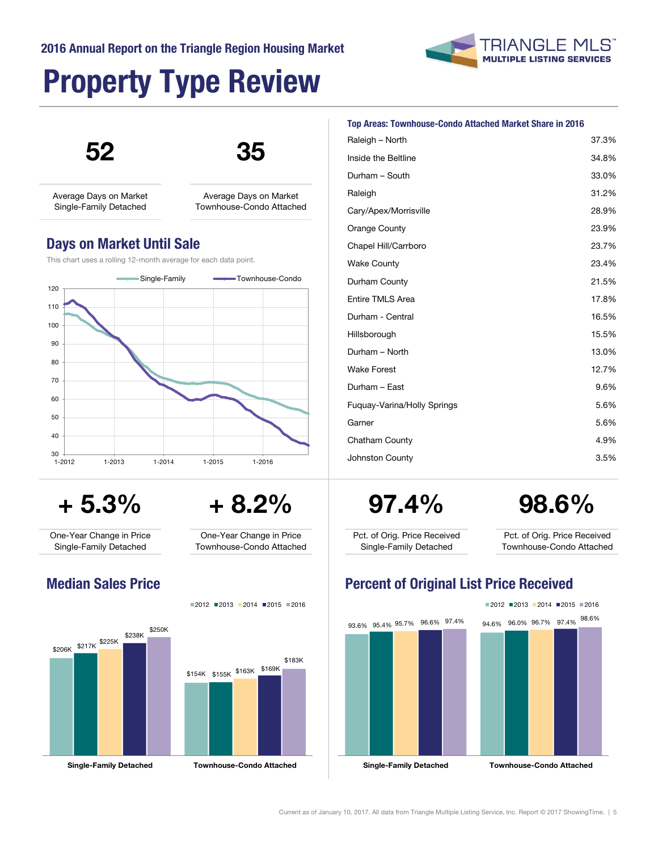### 2016 Annual Report on the Triangle Region Housing Market

## Property Type Review



Average Days on Market Single-Family Detached

### Days on Market Until Sale

### This chart uses a rolling 12-month average for each data point.



One-Year Change in Price Townhouse-Condo Attached

Average Days on Market Townhouse-Condo Attached

One-Year Change in Price Single-Family Detached



 $2012$  2013 2014 2015 2016



| <b>Top Areas: Townhouse-Condo Attached Market Share in 2016</b> |  |  |  |
|-----------------------------------------------------------------|--|--|--|
|                                                                 |  |  |  |

| Raleigh - North             | 37.3% |
|-----------------------------|-------|
| Inside the Beltline         | 34.8% |
| Durham - South              | 33.0% |
| Raleigh                     | 31.2% |
| Cary/Apex/Morrisville       | 28.9% |
| Orange County               | 23.9% |
| Chapel Hill/Carrboro        | 23.7% |
| <b>Wake County</b>          | 23.4% |
| Durham County               | 21.5% |
| <b>Entire TMLS Area</b>     | 17.8% |
| Durham - Central            | 16.5% |
| Hillsborough                | 15.5% |
| Durham - North              | 13.0% |
| <b>Wake Forest</b>          | 12.7% |
| Durham - East               | 9.6%  |
| Fuguay-Varina/Holly Springs | 5.6%  |
| Garner                      | 5.6%  |
| Chatham County              | 4.9%  |
| Johnston County             | 3.5%  |
|                             |       |

 $+ 5.3\% + 8.2\% + 97.4\% = 98.6\%$ 

**TRIANGLE MLS MULTIPLE LISTING SERVICES** 

Pct. of Orig. Price Received Single-Family Detached

Pct. of Orig. Price Received Townhouse-Condo Attached

## Median Sales Price **Price Accord Percent of Original List Price Received**

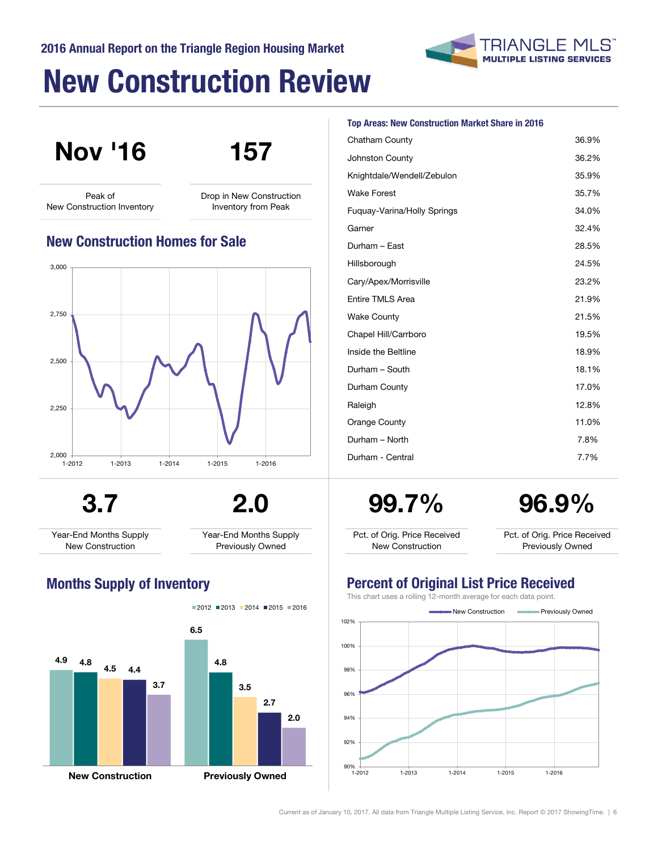# New Construction Review



Nov '16 157

Peak of New Construction Inventory Drop in New Construction Inventory from Peak

### New Construction Homes for Sale



3.7 2.0

Year-End Months Supply New Construction

Year-End Months Supply Previously Owned



### Top Areas: New Construction Market Share in 2016

| Chatham County              | 36.9% |
|-----------------------------|-------|
| Johnston County             | 36.2% |
| Knightdale/Wendell/Zebulon  | 35.9% |
| <b>Wake Forest</b>          | 35.7% |
| Fuguay-Varina/Holly Springs | 34.0% |
| Garner                      | 32.4% |
| Durham - East               | 28.5% |
| Hillsborough                | 24.5% |
| Cary/Apex/Morrisville       | 23.2% |
| <b>Entire TMLS Area</b>     | 21.9% |
| <b>Wake County</b>          | 21.5% |
| Chapel Hill/Carrboro        | 19.5% |
| Inside the Beltline         | 18.9% |
| Durham - South              | 18.1% |
| Durham County               | 17.0% |
| Raleigh                     | 12.8% |
| Orange County               | 11.0% |
| Durham - North              | 7.8%  |
| Durham - Central            | 7.7%  |
|                             |       |

99.7%

96.9%

Pct. of Orig. Price Received New Construction

Pct. of Orig. Price Received Previously Owned

### Months Supply of Inventory Percent of Original List Price Received

This chart uses a rolling 12-month average for each data point.

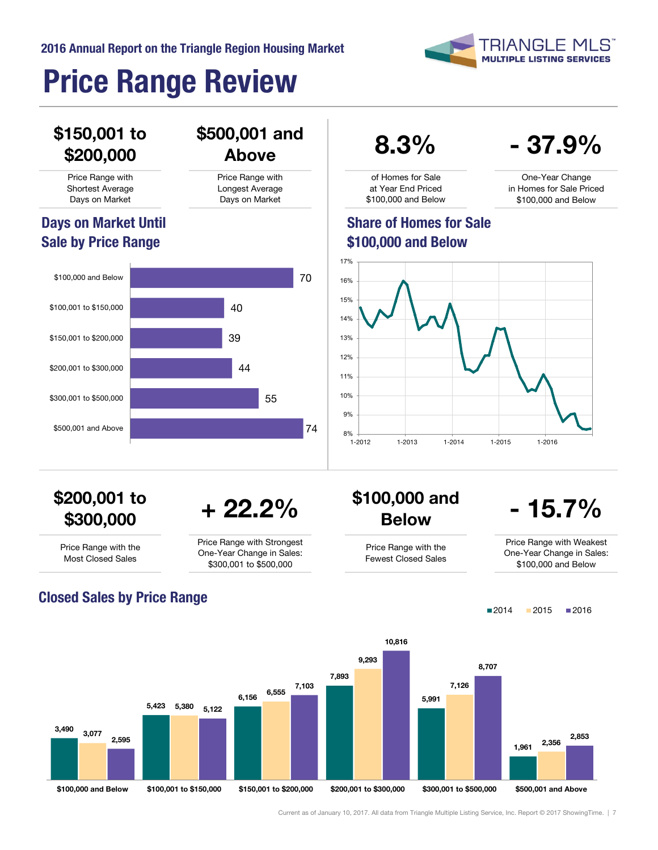

One-Year Change in Homes for Sale Priced \$100,000 and Below

- 37.9%

# Price Range Review

## \$150,001 to \$200,000

Price Range with Shortest Average Days on Market

## Days on Market Until Sale by Price Range



## $\frac{10,001 \text{ and}}{4 \text{ above}}$  8.3%

of Homes for Sale at Year End Priced \$100,000 and Below

### Share of Homes for Sale \$100,000 and Below



# \$200,001 to

Price Range with Longest Average Days on Market

\$500,001 and

Price Range with the Most Closed Sales

Price Range with Strongest One-Year Change in Sales: \$300,001 to \$500,000

# $300,000$  to  $+22.2\%$  \$100,000 and<br>\$300,000 + 22.2% Below

Price Range with the Fewest Closed Sales

## $-15.7%$

Price Range with Weakest One-Year Change in Sales: \$100,000 and Below

 $2014$  2015 2016



[Current as of January 10, 2017. All data from Triangle Multiple Listing Service, Inc. Report © 2017 ShowingTime. | 7](#page-0-0)

Closed Sales by Price Range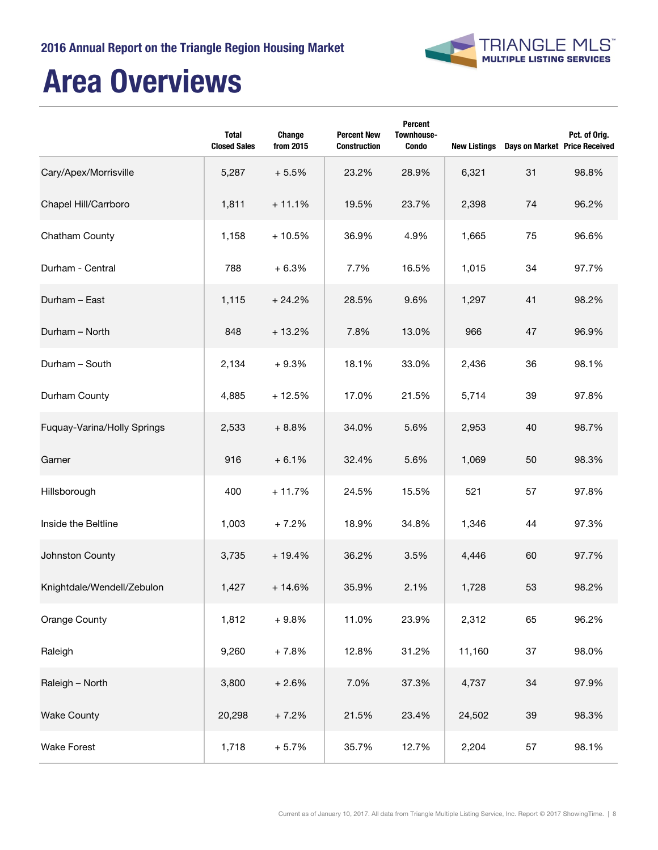

# Area Overviews

|                             | <b>Total</b><br><b>Closed Sales</b> | Change<br>from 2015 | <b>Percent New</b><br><b>Construction</b> | Percent<br>Townhouse-<br><b>Condo</b> | <b>New Listings</b> | Days on Market Price Received | Pct. of Orig. |
|-----------------------------|-------------------------------------|---------------------|-------------------------------------------|---------------------------------------|---------------------|-------------------------------|---------------|
| Cary/Apex/Morrisville       | 5,287                               | $+5.5%$             | 23.2%                                     | 28.9%                                 | 6,321               | 31                            | 98.8%         |
| Chapel Hill/Carrboro        | 1,811                               | $+11.1%$            | 19.5%                                     | 23.7%                                 | 2,398               | 74                            | 96.2%         |
| Chatham County              | 1,158                               | $+10.5%$            | 36.9%                                     | 4.9%                                  | 1,665               | 75                            | 96.6%         |
| Durham - Central            | 788                                 | $+6.3%$             | 7.7%                                      | 16.5%                                 | 1,015               | 34                            | 97.7%         |
| Durham - East               | 1,115                               | $+24.2%$            | 28.5%                                     | 9.6%                                  | 1,297               | 41                            | 98.2%         |
| Durham - North              | 848                                 | $+13.2%$            | 7.8%                                      | 13.0%                                 | 966                 | 47                            | 96.9%         |
| Durham - South              | 2,134                               | $+9.3%$             | 18.1%                                     | 33.0%                                 | 2,436               | 36                            | 98.1%         |
| Durham County               | 4,885                               | $+12.5%$            | 17.0%                                     | 21.5%                                 | 5,714               | 39                            | 97.8%         |
| Fuquay-Varina/Holly Springs | 2,533                               | $+8.8%$             | 34.0%                                     | 5.6%                                  | 2,953               | 40                            | 98.7%         |
| Garner                      | 916                                 | $+6.1%$             | 32.4%                                     | 5.6%                                  | 1,069               | 50                            | 98.3%         |
| Hillsborough                | 400                                 | $+11.7%$            | 24.5%                                     | 15.5%                                 | 521                 | 57                            | 97.8%         |
| Inside the Beltline         | 1,003                               | $+7.2%$             | 18.9%                                     | 34.8%                                 | 1,346               | 44                            | 97.3%         |
| Johnston County             | 3,735                               | $+19.4%$            | 36.2%                                     | 3.5%                                  | 4,446               | 60                            | 97.7%         |
| Knightdale/Wendell/Zebulon  | 1,427                               | $+14.6%$            | 35.9%                                     | 2.1%                                  | 1,728               | 53                            | 98.2%         |
| Orange County               | 1,812                               | $+9.8%$             | 11.0%                                     | 23.9%                                 | 2,312               | 65                            | 96.2%         |
| Raleigh                     | 9,260                               | $+7.8%$             | 12.8%                                     | 31.2%                                 | 11,160              | 37                            | 98.0%         |
| Raleigh - North             | 3,800                               | $+2.6%$             | 7.0%                                      | 37.3%                                 | 4,737               | 34                            | 97.9%         |
| <b>Wake County</b>          | 20,298                              | $+7.2%$             | 21.5%                                     | 23.4%                                 | 24,502              | 39                            | 98.3%         |
| <b>Wake Forest</b>          | 1,718                               | $+5.7%$             | 35.7%                                     | 12.7%                                 | 2,204               | 57                            | 98.1%         |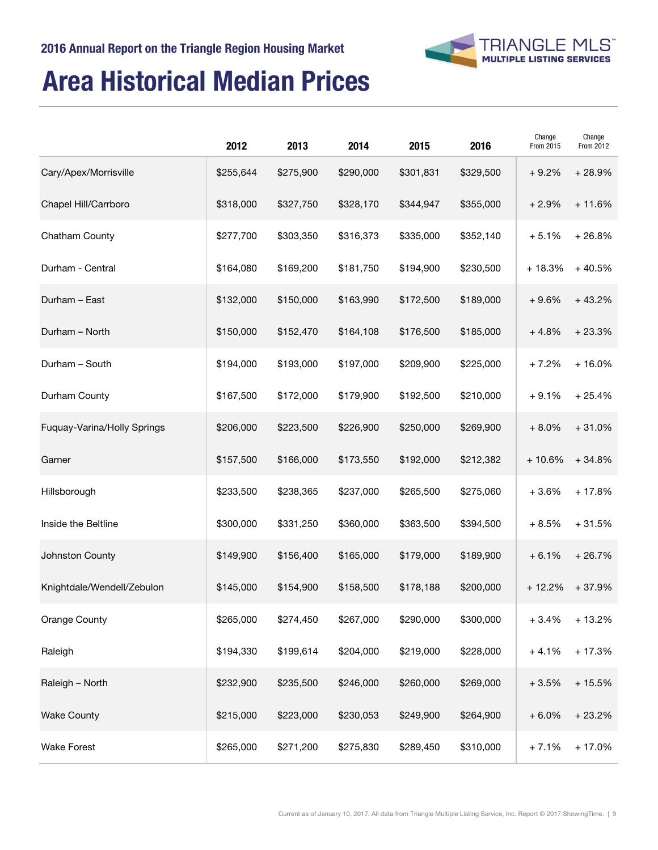

## Area Historical Median Prices

|                             | 2012      | 2013      | 2014      | 2015      | 2016      | Change<br>From 2015 | Change<br>From 2012 |
|-----------------------------|-----------|-----------|-----------|-----------|-----------|---------------------|---------------------|
| Cary/Apex/Morrisville       | \$255,644 | \$275,900 | \$290,000 | \$301,831 | \$329,500 | $+9.2%$             | $+28.9%$            |
| Chapel Hill/Carrboro        | \$318,000 | \$327,750 | \$328,170 | \$344,947 | \$355,000 | $+2.9%$             | $+11.6%$            |
| Chatham County              | \$277,700 | \$303,350 | \$316,373 | \$335,000 | \$352,140 | $+5.1%$             | $+26.8%$            |
| Durham - Central            | \$164,080 | \$169,200 | \$181,750 | \$194,900 | \$230,500 | $+18.3%$            | $+40.5%$            |
| Durham - East               | \$132,000 | \$150,000 | \$163,990 | \$172,500 | \$189,000 | $+9.6%$             | $+43.2%$            |
| Durham - North              | \$150,000 | \$152,470 | \$164,108 | \$176,500 | \$185,000 | $+4.8%$             | $+23.3%$            |
| Durham - South              | \$194,000 | \$193,000 | \$197,000 | \$209,900 | \$225,000 | $+7.2%$             | $+16.0%$            |
| Durham County               | \$167,500 | \$172,000 | \$179,900 | \$192,500 | \$210,000 | $+9.1%$             | $+25.4%$            |
| Fuquay-Varina/Holly Springs | \$206,000 | \$223,500 | \$226,900 | \$250,000 | \$269,900 | $+8.0%$             | $+31.0%$            |
| Garner                      | \$157,500 | \$166,000 | \$173,550 | \$192,000 | \$212,382 | $+10.6%$            | $+34.8%$            |
| Hillsborough                | \$233,500 | \$238,365 | \$237,000 | \$265,500 | \$275,060 | $+3.6%$             | $+17.8%$            |
| Inside the Beltline         | \$300,000 | \$331,250 | \$360,000 | \$363,500 | \$394,500 | $+8.5%$             | $+31.5%$            |
| Johnston County             | \$149,900 | \$156,400 | \$165,000 | \$179,000 | \$189,900 | $+6.1%$             | $+26.7%$            |
| Knightdale/Wendell/Zebulon  | \$145,000 | \$154,900 | \$158,500 | \$178,188 | \$200,000 | $+12.2%$            | $+37.9%$            |
| Orange County               | \$265,000 | \$274,450 | \$267,000 | \$290,000 | \$300,000 | $+3.4%$             | $+13.2%$            |
| Raleigh                     | \$194,330 | \$199,614 | \$204,000 | \$219,000 | \$228,000 | $+4.1%$             | $+17.3%$            |
| Raleigh - North             | \$232,900 | \$235,500 | \$246,000 | \$260,000 | \$269,000 | $+3.5%$             | $+15.5%$            |
| <b>Wake County</b>          | \$215,000 | \$223,000 | \$230,053 | \$249,900 | \$264,900 | $+6.0%$             | $+23.2%$            |
| <b>Wake Forest</b>          | \$265,000 | \$271,200 | \$275,830 | \$289,450 | \$310,000 | $+7.1%$             | $+17.0%$            |